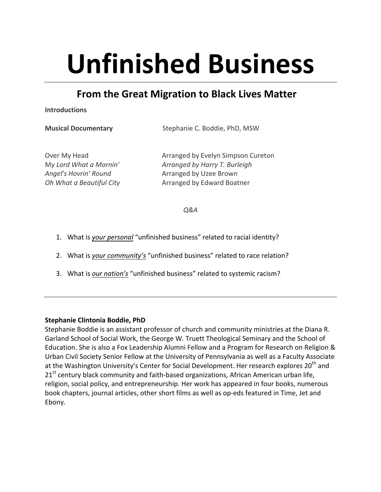# **Unfinished Business**

## **From the Great Migration to Black Lives Matter**

**Introductions**

**Musical Documentary** Stephanie C. Boddie, PhD, MSW

Over My Head *Cover My Head Cover My Head Cureton Arranged by Evelyn Simpson Cureton* M*y Lord What a Mornin' Arranged by Harry T. Burleigh* Angel's Hovrin' Round<br> **Arranged by Uzee Brown** *Oh* What a Beautiful City **Arranged** by Edward Boatner

*Q&A* 

- 1. What is your personal "unfinished business" related to racial identity?
- 2. What is *your community's* "unfinished business" related to race relation?
- 3. What is *our nation's* "unfinished business" related to systemic racism?

#### **Stephanie Clintonia Boddie, PhD**

Stephanie Boddie is an assistant professor of church and community ministries at the Diana R. Garland School of Social Work, the George W. Truett Theological Seminary and the School of Education. She is also a Fox Leadership Alumni Fellow and a Program for Research on Religion & Urban Civil Society Senior Fellow at the University of Pennsylvania as well as a Faculty Associate at the Washington University's Center for Social Development. Her research explores 20<sup>th</sup> and  $21<sup>st</sup>$  century black community and faith-based organizations, African American urban life, religion, social policy, and entrepreneurship. Her work has appeared in four books, numerous book chapters, journal articles, other short films as well as op-eds featured in Time, Jet and Ebony.